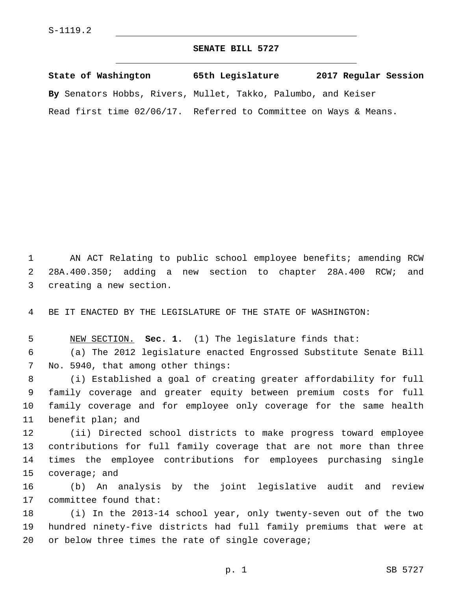## **SENATE BILL 5727**

| State of Washington                                              | 65th Legislature | 2017 Regular Session |  |
|------------------------------------------------------------------|------------------|----------------------|--|
| By Senators Hobbs, Rivers, Mullet, Takko, Palumbo, and Keiser    |                  |                      |  |
| Read first time 02/06/17. Referred to Committee on Ways & Means. |                  |                      |  |

1 AN ACT Relating to public school employee benefits; amending RCW 2 28A.400.350; adding a new section to chapter 28A.400 RCW; and 3 creating a new section.

4 BE IT ENACTED BY THE LEGISLATURE OF THE STATE OF WASHINGTON:

5 NEW SECTION. **Sec. 1.** (1) The legislature finds that:

6 (a) The 2012 legislature enacted Engrossed Substitute Senate Bill 7 No. 5940, that among other things:

 (i) Established a goal of creating greater affordability for full family coverage and greater equity between premium costs for full family coverage and for employee only coverage for the same health 11 benefit plan; and

 (ii) Directed school districts to make progress toward employee contributions for full family coverage that are not more than three times the employee contributions for employees purchasing single 15 coverage; and

16 (b) An analysis by the joint legislative audit and review 17 committee found that:

18 (i) In the 2013-14 school year, only twenty-seven out of the two 19 hundred ninety-five districts had full family premiums that were at  $20$  or below three times the rate of single coverage;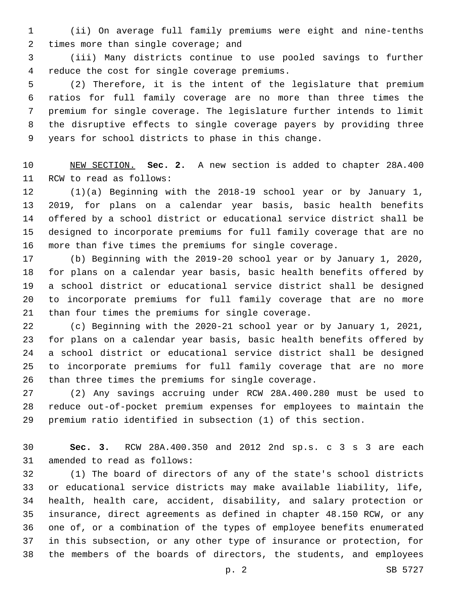(ii) On average full family premiums were eight and nine-tenths 2 times more than single coverage; and

 (iii) Many districts continue to use pooled savings to further 4 reduce the cost for single coverage premiums.

 (2) Therefore, it is the intent of the legislature that premium ratios for full family coverage are no more than three times the premium for single coverage. The legislature further intends to limit the disruptive effects to single coverage payers by providing three years for school districts to phase in this change.

 NEW SECTION. **Sec. 2.** A new section is added to chapter 28A.400 11 RCW to read as follows:

 (1)(a) Beginning with the 2018-19 school year or by January 1, 2019, for plans on a calendar year basis, basic health benefits offered by a school district or educational service district shall be designed to incorporate premiums for full family coverage that are no more than five times the premiums for single coverage.

 (b) Beginning with the 2019-20 school year or by January 1, 2020, for plans on a calendar year basis, basic health benefits offered by a school district or educational service district shall be designed to incorporate premiums for full family coverage that are no more 21 than four times the premiums for single coverage.

 (c) Beginning with the 2020-21 school year or by January 1, 2021, for plans on a calendar year basis, basic health benefits offered by a school district or educational service district shall be designed to incorporate premiums for full family coverage that are no more than three times the premiums for single coverage.

 (2) Any savings accruing under RCW 28A.400.280 must be used to reduce out-of-pocket premium expenses for employees to maintain the premium ratio identified in subsection (1) of this section.

 **Sec. 3.** RCW 28A.400.350 and 2012 2nd sp.s. c 3 s 3 are each 31 amended to read as follows:

 (1) The board of directors of any of the state's school districts or educational service districts may make available liability, life, health, health care, accident, disability, and salary protection or insurance, direct agreements as defined in chapter 48.150 RCW, or any one of, or a combination of the types of employee benefits enumerated in this subsection, or any other type of insurance or protection, for the members of the boards of directors, the students, and employees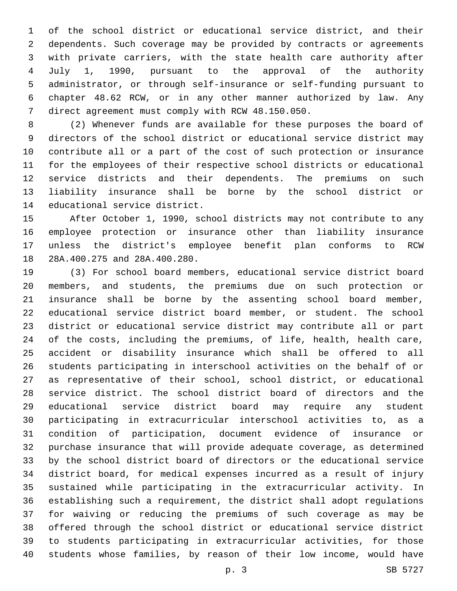of the school district or educational service district, and their dependents. Such coverage may be provided by contracts or agreements with private carriers, with the state health care authority after July 1, 1990, pursuant to the approval of the authority administrator, or through self-insurance or self-funding pursuant to chapter 48.62 RCW, or in any other manner authorized by law. Any 7 direct agreement must comply with RCW 48.150.050.

 (2) Whenever funds are available for these purposes the board of directors of the school district or educational service district may contribute all or a part of the cost of such protection or insurance for the employees of their respective school districts or educational service districts and their dependents. The premiums on such liability insurance shall be borne by the school district or 14 educational service district.

 After October 1, 1990, school districts may not contribute to any employee protection or insurance other than liability insurance unless the district's employee benefit plan conforms to RCW 18 28A.400.275 and 28A.400.280.

 (3) For school board members, educational service district board members, and students, the premiums due on such protection or insurance shall be borne by the assenting school board member, educational service district board member, or student. The school district or educational service district may contribute all or part of the costs, including the premiums, of life, health, health care, accident or disability insurance which shall be offered to all students participating in interschool activities on the behalf of or as representative of their school, school district, or educational service district. The school district board of directors and the educational service district board may require any student participating in extracurricular interschool activities to, as a condition of participation, document evidence of insurance or purchase insurance that will provide adequate coverage, as determined by the school district board of directors or the educational service district board, for medical expenses incurred as a result of injury sustained while participating in the extracurricular activity. In establishing such a requirement, the district shall adopt regulations for waiving or reducing the premiums of such coverage as may be offered through the school district or educational service district to students participating in extracurricular activities, for those students whose families, by reason of their low income, would have

p. 3 SB 5727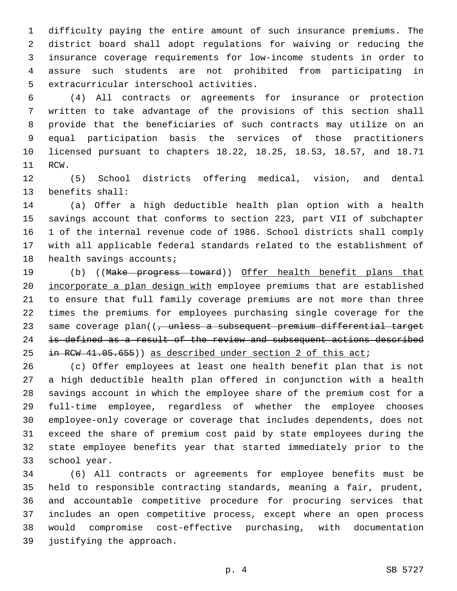difficulty paying the entire amount of such insurance premiums. The district board shall adopt regulations for waiving or reducing the insurance coverage requirements for low-income students in order to assure such students are not prohibited from participating in 5 extracurricular interschool activities.

 (4) All contracts or agreements for insurance or protection written to take advantage of the provisions of this section shall provide that the beneficiaries of such contracts may utilize on an equal participation basis the services of those practitioners licensed pursuant to chapters 18.22, 18.25, 18.53, 18.57, and 18.71 11 RCW.

 (5) School districts offering medical, vision, and dental 13 benefits shall:

 (a) Offer a high deductible health plan option with a health savings account that conforms to section 223, part VII of subchapter 1 of the internal revenue code of 1986. School districts shall comply with all applicable federal standards related to the establishment of 18 health savings accounts;

19 (b) ((Make progress toward)) Offer health benefit plans that incorporate a plan design with employee premiums that are established to ensure that full family coverage premiums are not more than three times the premiums for employees purchasing single coverage for the 23 same coverage plan((, unless a subsequent premium differential target 24 is defined as a result of the review and subsequent actions described 25 in RCW 41.05.655)) as described under section 2 of this act;

 (c) Offer employees at least one health benefit plan that is not a high deductible health plan offered in conjunction with a health savings account in which the employee share of the premium cost for a full-time employee, regardless of whether the employee chooses employee-only coverage or coverage that includes dependents, does not exceed the share of premium cost paid by state employees during the state employee benefits year that started immediately prior to the 33 school year.

 (6) All contracts or agreements for employee benefits must be held to responsible contracting standards, meaning a fair, prudent, and accountable competitive procedure for procuring services that includes an open competitive process, except where an open process would compromise cost-effective purchasing, with documentation 39 justifying the approach.